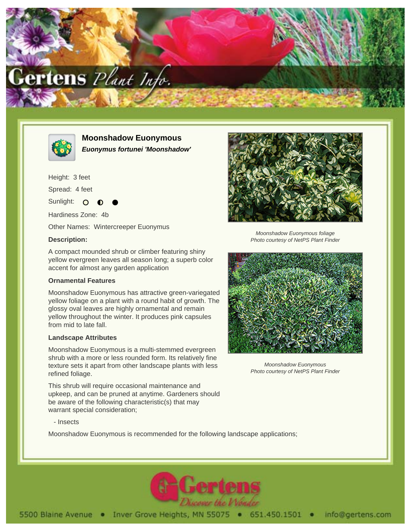



**Moonshadow Euonymous Euonymus fortunei 'Moonshadow'**

Height: 3 feet

Spread: 4 feet

Sunlight: O

Hardiness Zone: 4b

Other Names: Wintercreeper Euonymus

## **Description:**

A compact mounded shrub or climber featuring shiny yellow evergreen leaves all season long; a superb color accent for almost any garden application

## **Ornamental Features**

Moonshadow Euonymous has attractive green-variegated yellow foliage on a plant with a round habit of growth. The glossy oval leaves are highly ornamental and remain yellow throughout the winter. It produces pink capsules from mid to late fall.

## **Landscape Attributes**

Moonshadow Euonymous is a multi-stemmed evergreen shrub with a more or less rounded form. Its relatively fine texture sets it apart from other landscape plants with less refined foliage.

This shrub will require occasional maintenance and upkeep, and can be pruned at anytime. Gardeners should be aware of the following characteristic(s) that may warrant special consideration;



Photo courtesy of NetPS Plant Finder



Moonshadow Euonymous Photo courtesy of NetPS Plant Finder

- Insects

Moonshadow Euonymous is recommended for the following landscape applications;